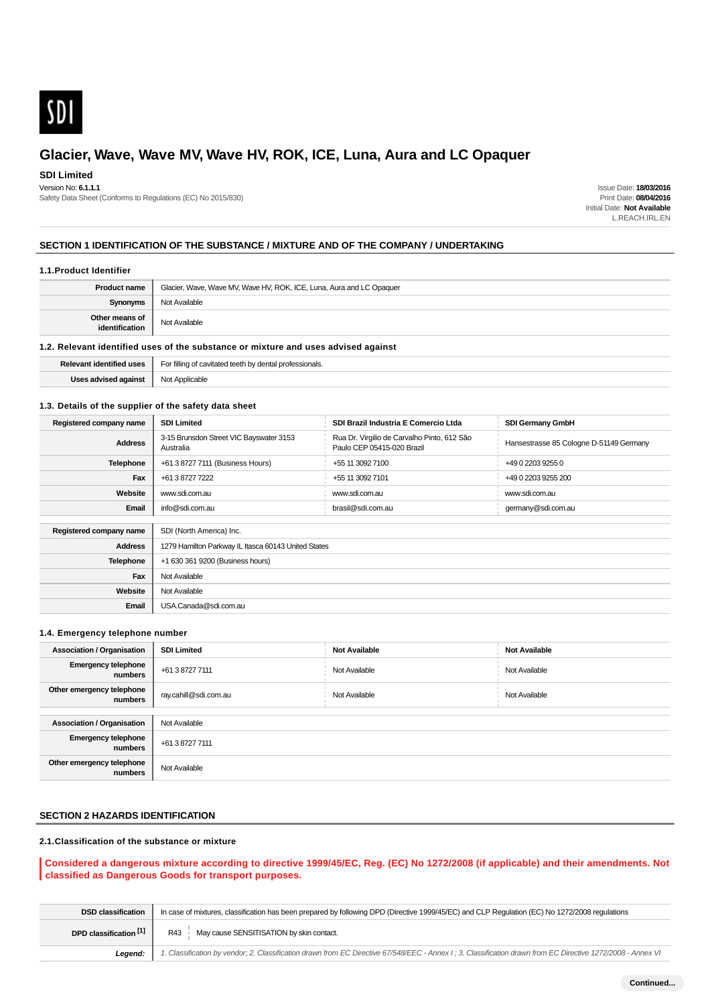

## **SDI Limited**

Version No: **6.1.1.1**

Safety Data Sheet (Conforms to Regulations (EC) No 2015/830)

Issue Date: **18/03/2016** Print Date: **08/04/2016** Initial Date: **Not Available** L.REACH.IRL.EN

### **SECTION 1 IDENTIFICATION OF THE SUBSTANCE / MIXTURE AND OF THE COMPANY / UNDERTAKING**

#### **1.1.Product Identifier**

| <b>Product name</b>              | Glacier, Wave, Wave MV, Wave HV, ROK, ICE, Luna, Aura and LC Opaquer |  |
|----------------------------------|----------------------------------------------------------------------|--|
| <b>Synonyms</b>                  | Not Available                                                        |  |
| Other means of<br>identification | Not Available                                                        |  |
|                                  |                                                                      |  |

### **1.2. Relevant identified uses of the substance or mixture and uses advised against**

| $\sim$<br>onais<br>-99<br>- -<br>the contract of the contract of the<br>. |  |
|---------------------------------------------------------------------------|--|
| <br>.<br>____                                                             |  |

### **1.3. Details of the supplier of the safety data sheet**

| Registered company name | <b>SDI Limited</b>                                   | SDI Brazil Industria E Comercio Ltda                                      | <b>SDI Germany GmbH</b>                 |  |
|-------------------------|------------------------------------------------------|---------------------------------------------------------------------------|-----------------------------------------|--|
| <b>Address</b>          | 3-15 Brunsdon Street VIC Bayswater 3153<br>Australia | Rua Dr. Virgilio de Carvalho Pinto, 612 São<br>Paulo CEP 05415-020 Brazil | Hansestrasse 85 Cologne D-51149 Germany |  |
| <b>Telephone</b>        | +61 3 8727 7111 (Business Hours)                     | +55 11 3092 7100                                                          | +49 0 2203 9255 0                       |  |
| Fax                     | +61 3 8727 7222                                      | +55 11 3092 7101                                                          | +49 0 2203 9255 200                     |  |
| Website                 | www.sdi.com.au                                       | www.sdi.com.au                                                            | www.sdi.com.au                          |  |
| Email                   | info@sdi.com.au                                      | brasil@sdi.com.au                                                         | germany@sdi.com.au                      |  |
|                         |                                                      |                                                                           |                                         |  |
| Registered company name | SDI (North America) Inc.                             |                                                                           |                                         |  |
| <b>Address</b>          | 1279 Hamilton Parkway IL Itasca 60143 United States  |                                                                           |                                         |  |
| <b>Telephone</b>        | +1 630 361 9200 (Business hours)                     |                                                                           |                                         |  |
| Fax                     | Not Available                                        |                                                                           |                                         |  |
| Website                 | Not Available                                        |                                                                           |                                         |  |
| Email                   | USA.Canada@sdi.com.au                                |                                                                           |                                         |  |

### **1.4. Emergency telephone number**

| <b>Association / Organisation</b>     | <b>SDI Limited</b>    | <b>Not Available</b> | <b>Not Available</b> |
|---------------------------------------|-----------------------|----------------------|----------------------|
| <b>Emergency telephone</b><br>numbers | +61 3 8727 7111       | Not Available        | Not Available        |
| Other emergency telephone<br>numbers  | ray.cahill@sdi.com.au | Not Available        | Not Available        |
|                                       |                       |                      |                      |
| <b>Association / Organisation</b>     | Not Available         |                      |                      |
| <b>Emergency telephone</b><br>numbers | +61 3 8727 7111       |                      |                      |
| Other emergency telephone<br>numbers  | Not Available         |                      |                      |

## **SECTION 2 HAZARDS IDENTIFICATION**

### **2.1.Classification of the substance or mixture**

### **Considered a dangerous mixture according to directive 1999/45/EC, Reg. (EC) No 1272/2008 (if applicable) and their amendments. Not classified as Dangerous Goods for transport purposes.**

| <b>DSD classification</b> | In case of mixtures, classification has been prepared by following DPD (Directive 1999/45/EC) and CLP Regulation (EC) No 1272/2008 regulations              |  |  |
|---------------------------|-------------------------------------------------------------------------------------------------------------------------------------------------------------|--|--|
| DPD classification [1]    | May cause SENSITISATION by skin contact.<br>R43                                                                                                             |  |  |
| Leaend:                   | 1. Classification by vendor; 2. Classification drawn from EC Directive 67/548/EEC - Annex I; 3. Classification drawn from EC Directive 1272/2008 - Annex VI |  |  |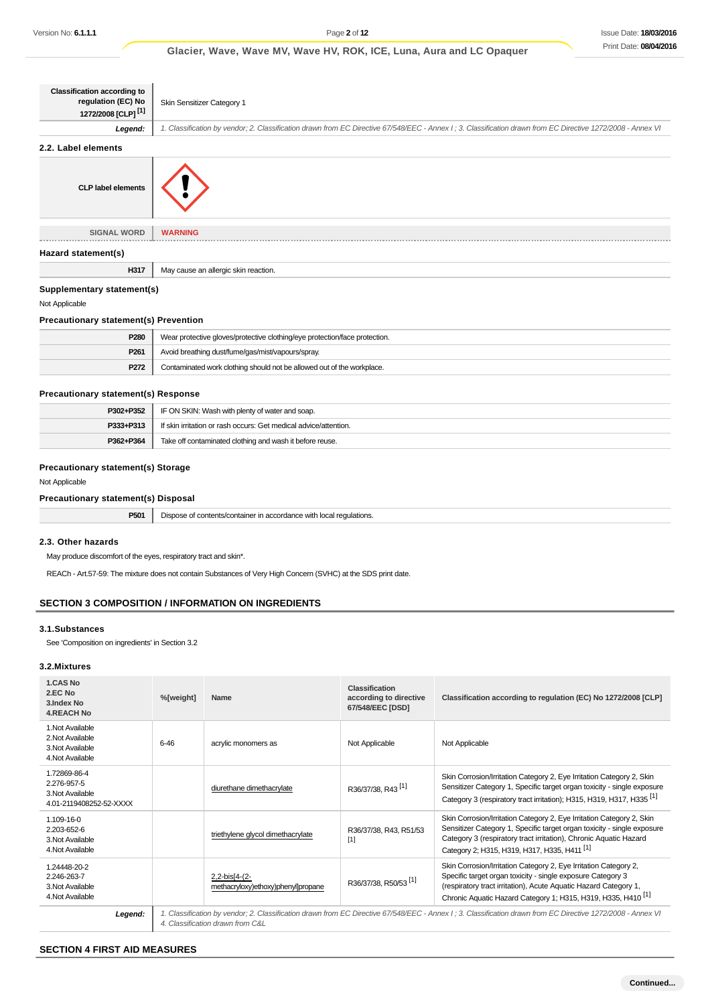| <b>Classification according to</b><br>regulation (EC) No<br>1272/2008 [CLP] <sup>[1]</sup> | Skin Sensitizer Category 1                                                                                                                                  |  |  |
|--------------------------------------------------------------------------------------------|-------------------------------------------------------------------------------------------------------------------------------------------------------------|--|--|
| Legend:                                                                                    | 1. Classification by vendor; 2. Classification drawn from EC Directive 67/548/EEC - Annex I; 3. Classification drawn from EC Directive 1272/2008 - Annex VI |  |  |
| 2.2. Label elements                                                                        |                                                                                                                                                             |  |  |
| <b>CLP label elements</b>                                                                  |                                                                                                                                                             |  |  |
| <b>SIGNAL WORD</b>                                                                         | <b>WARNING</b>                                                                                                                                              |  |  |
| Hazard statement(s)                                                                        |                                                                                                                                                             |  |  |
| H317                                                                                       | May cause an allergic skin reaction.                                                                                                                        |  |  |

### **Supplementary statement(s)**

Not Applicable

### **Precautionary statement(s) Prevention**

| P <sub>280</sub> | Wear protective gloves/protective clothing/eye protection/face protection. |  |
|------------------|----------------------------------------------------------------------------|--|
| P <sub>261</sub> | Avoid breathing dust/fume/gas/mist/vapours/spray.                          |  |
| P272             | Contaminated work clothing should not be allowed out of the workplace.     |  |

### **Precautionary statement(s) Response**

| P302+P352 | IF ON SKIN: Wash with plenty of water and soap.                  |  |
|-----------|------------------------------------------------------------------|--|
| P333+P313 | If skin irritation or rash occurs: Get medical advice/attention. |  |
| P362+P364 | Take off contaminated clothing and wash it before reuse.         |  |

### **Precautionary statement(s) Storage**

#### Not Applicable

### **Precautionary statement(s) Disposal**

|  | <b>P501</b> Dispose of contents/container in accordance with local regulations. |
|--|---------------------------------------------------------------------------------|
|--|---------------------------------------------------------------------------------|

### **2.3. Other hazards**

May produce discomfort of the eyes, respiratory tract and skin\*.

REACh - Art.57-59: The mixture does not contain Substances of Very High Concern (SVHC) at the SDS print date.

### **SECTION 3 COMPOSITION / INFORMATION ON INGREDIENTS**

#### **3.1.Substances**

See 'Composition on ingredients' in Section 3.2

#### **3.2.Mixtures**

| 1.CAS No<br>2.EC No<br>3.Index No<br><b>4.REACH No</b>                       | %[weight] | Name                                                  | Classification<br>according to directive<br>67/548/EEC [DSD] | Classification according to regulation (EC) No 1272/2008 [CLP]                                                                                                                                                                                                                   |
|------------------------------------------------------------------------------|-----------|-------------------------------------------------------|--------------------------------------------------------------|----------------------------------------------------------------------------------------------------------------------------------------------------------------------------------------------------------------------------------------------------------------------------------|
| 1. Not Available<br>2. Not Available<br>3. Not Available<br>4. Not Available | $6 - 46$  | acrylic monomers as                                   | Not Applicable                                               | Not Applicable                                                                                                                                                                                                                                                                   |
| 1.72869-86-4<br>2.276-957-5<br>3. Not Available<br>4.01-2119408252-52-XXXX   |           | diurethane dimethacrylate                             | R36/37/38, R43 <sup>[1]</sup>                                | Skin Corrosion/Irritation Category 2, Eye Irritation Category 2, Skin<br>Sensitizer Category 1, Specific target organ toxicity - single exposure<br>Category 3 (respiratory tract irritation); H315, H319, H317, H335 <sup>[1]</sup>                                             |
| $1.109 - 16 - 0$<br>2.203-652-6<br>3. Not Available<br>4. Not Available      |           | triethylene glycol dimethacrylate                     | R36/37/38, R43, R51/53<br>$[1]$                              | Skin Corrosion/Irritation Category 2, Eye Irritation Category 2, Skin<br>Sensitizer Category 1, Specific target organ toxicity - single exposure<br>Category 3 (respiratory tract irritation), Chronic Aquatic Hazard<br>Category 2; H315, H319, H317, H335, H411 <sup>[1]</sup> |
| 1.24448-20-2<br>2.246-263-7<br>3. Not Available<br>4. Not Available          |           | $2,2-bis[4-(2-$<br>methacryloxy)ethoxy)phenyl]propane | R36/37/38, R50/53 <sup>[1]</sup>                             | Skin Corrosion/Irritation Category 2, Eye Irritation Category 2,<br>Specific target organ toxicity - single exposure Category 3<br>(respiratory tract irritation), Acute Aquatic Hazard Category 1,<br>Chronic Aquatic Hazard Category 1; H315, H319, H335, H410 <sup>[1]</sup>  |
| Legend:                                                                      |           | 4. Classification drawn from C&L                      |                                                              | 1. Classification by vendor; 2. Classification drawn from EC Directive 67/548/EEC - Annex I ; 3. Classification drawn from EC Directive 1272/2008 - Annex VI                                                                                                                     |

### **SECTION 4 FIRST AID MEASURES**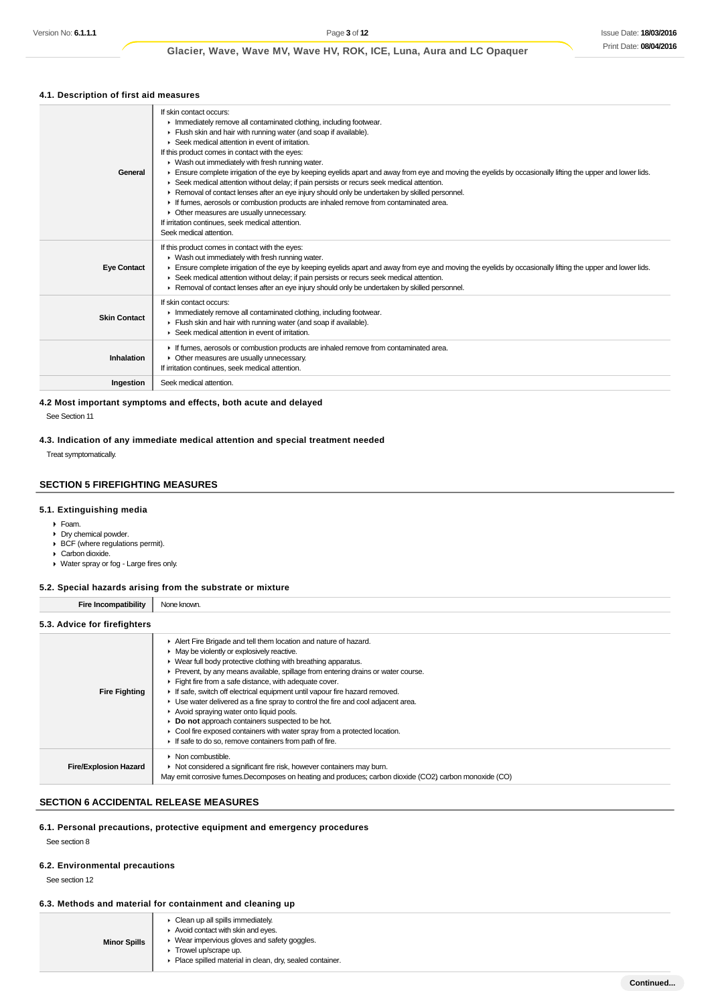## **4.1. Description of first aid measures**

| If skin contact occurs:<br>Inmediately remove all contaminated clothing, including footwear.<br>Flush skin and hair with running water (and soap if available).<br>▶ Seek medical attention in event of irritation.<br>If this product comes in contact with the eyes:<br>• Wash out immediately with fresh running water.<br>Ensure complete irrigation of the eye by keeping eyelids apart and away from eye and moving the eyelids by occasionally lifting the upper and lower lids.<br>► Seek medical attention without delay; if pain persists or recurs seek medical attention.<br>► Removal of contact lenses after an eye injury should only be undertaken by skilled personnel.<br>If fumes, aerosols or combustion products are inhaled remove from contaminated area.<br>• Other measures are usually unnecessary.<br>If irritation continues, seek medical attention.<br>Seek medical attention. |
|--------------------------------------------------------------------------------------------------------------------------------------------------------------------------------------------------------------------------------------------------------------------------------------------------------------------------------------------------------------------------------------------------------------------------------------------------------------------------------------------------------------------------------------------------------------------------------------------------------------------------------------------------------------------------------------------------------------------------------------------------------------------------------------------------------------------------------------------------------------------------------------------------------------|
| If this product comes in contact with the eyes:<br>▶ Wash out immediately with fresh running water.<br>Ensure complete irrigation of the eye by keeping eyelids apart and away from eye and moving the eyelids by occasionally lifting the upper and lower lids.<br>► Seek medical attention without delay; if pain persists or recurs seek medical attention.<br>► Removal of contact lenses after an eye injury should only be undertaken by skilled personnel.                                                                                                                                                                                                                                                                                                                                                                                                                                            |
| If skin contact occurs:<br>Inmediately remove all contaminated clothing, including footwear.<br>Flush skin and hair with running water (and soap if available).<br>▶ Seek medical attention in event of irritation.                                                                                                                                                                                                                                                                                                                                                                                                                                                                                                                                                                                                                                                                                          |
| If fumes, aerosols or combustion products are inhaled remove from contaminated area.<br>• Other measures are usually unnecessary.<br>If irritation continues, seek medical attention.                                                                                                                                                                                                                                                                                                                                                                                                                                                                                                                                                                                                                                                                                                                        |
| Seek medical attention.                                                                                                                                                                                                                                                                                                                                                                                                                                                                                                                                                                                                                                                                                                                                                                                                                                                                                      |
|                                                                                                                                                                                                                                                                                                                                                                                                                                                                                                                                                                                                                                                                                                                                                                                                                                                                                                              |

### **4.2 Most important symptoms and effects, both acute and delayed** See Section 11

## **4.3. Indication of any immediate medical attention and special treatment needed**

Treat symptomatically.

### **SECTION 5 FIREFIGHTING MEASURES**

### **5.1. Extinguishing media**

#### Foam.

- Dry chemical powder.
- BCF (where regulations permit). Carbon dioxide.
- 
- Water spray or fog Large fires only.

## **5.2. Special hazards arising from the substrate or mixture**

**Fire Incompatibility** None known.

## **5.3. Advice for firefighters**

| <b>Fire Fighting</b>         | Alert Fire Brigade and tell them location and nature of hazard.<br>$\blacktriangleright$ May be violently or explosively reactive.<br>• Wear full body protective clothing with breathing apparatus.<br>• Prevent, by any means available, spillage from entering drains or water course.<br>Fight fire from a safe distance, with adequate cover.<br>If safe, switch off electrical equipment until vapour fire hazard removed.<br>► Use water delivered as a fine spray to control the fire and cool adjacent area.<br>Avoid spraying water onto liquid pools.<br>Do not approach containers suspected to be hot.<br>• Cool fire exposed containers with water spray from a protected location.<br>If safe to do so, remove containers from path of fire. |
|------------------------------|-------------------------------------------------------------------------------------------------------------------------------------------------------------------------------------------------------------------------------------------------------------------------------------------------------------------------------------------------------------------------------------------------------------------------------------------------------------------------------------------------------------------------------------------------------------------------------------------------------------------------------------------------------------------------------------------------------------------------------------------------------------|
| <b>Fire/Explosion Hazard</b> | $\triangleright$ Non combustible.<br>• Not considered a significant fire risk, however containers may burn.<br>May emit corrosive fumes. Decomposes on heating and produces; carbon dioxide (CO2) carbon monoxide (CO)                                                                                                                                                                                                                                                                                                                                                                                                                                                                                                                                      |

### **SECTION 6 ACCIDENTAL RELEASE MEASURES**

### **6.1. Personal precautions, protective equipment and emergency procedures**

See section 8

### **6.2. Environmental precautions**

See section 12

### **6.3. Methods and material for containment and cleaning up**

| $\triangleright$ Clean up all spills immediately.<br>$\blacktriangleright$ Avoid contact with skin and eyes.<br>▶ Wear impervious gloves and safety goggles.<br><b>Minor Spills</b><br>Trowel up/scrape up.<br>• Place spilled material in clean, dry, sealed container. |  |
|--------------------------------------------------------------------------------------------------------------------------------------------------------------------------------------------------------------------------------------------------------------------------|--|
|--------------------------------------------------------------------------------------------------------------------------------------------------------------------------------------------------------------------------------------------------------------------------|--|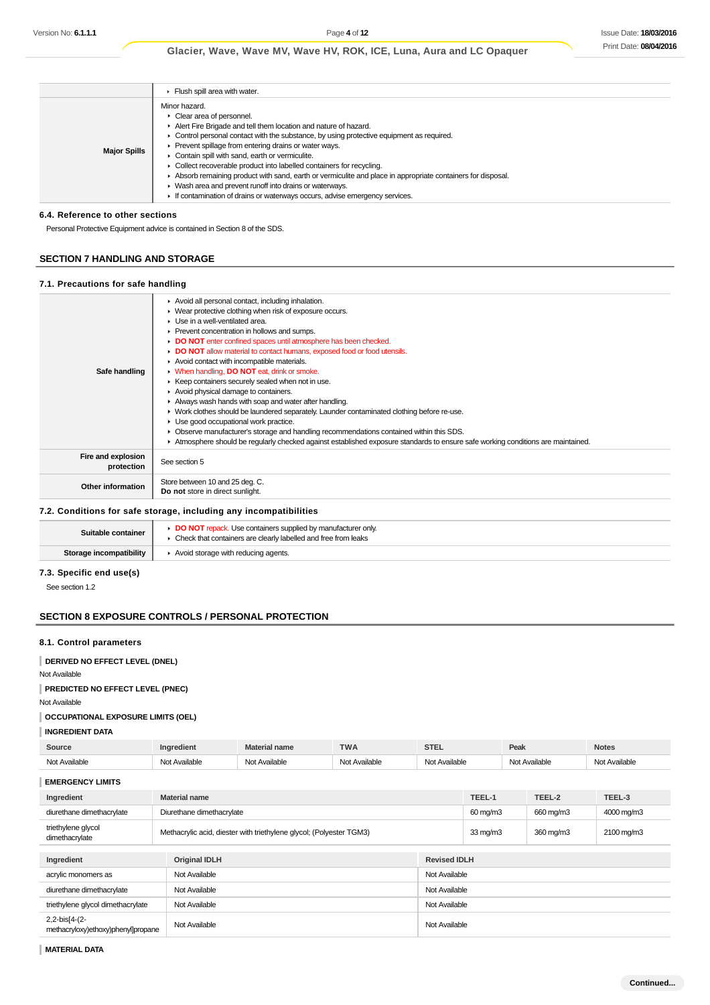|                     | Flush spill area with water.                                                                                                                                                                                                                                                                                                                                                                                                                                                                                                                                                                                                                                            |
|---------------------|-------------------------------------------------------------------------------------------------------------------------------------------------------------------------------------------------------------------------------------------------------------------------------------------------------------------------------------------------------------------------------------------------------------------------------------------------------------------------------------------------------------------------------------------------------------------------------------------------------------------------------------------------------------------------|
| <b>Major Spills</b> | Minor hazard.<br>• Clear area of personnel.<br>Alert Fire Brigade and tell them location and nature of hazard.<br>$\triangleright$ Control personal contact with the substance, by using protective equipment as required.<br>▶ Prevent spillage from entering drains or water ways.<br>Contain spill with sand, earth or vermiculite.<br>• Collect recoverable product into labelled containers for recycling.<br>Absorb remaining product with sand, earth or vermiculite and place in appropriate containers for disposal.<br>• Wash area and prevent runoff into drains or waterways.<br>If contamination of drains or waterways occurs, advise emergency services. |

### **6.4. Reference to other sections**

Personal Protective Equipment advice is contained in Section 8 of the SDS.

### **SECTION 7 HANDLING AND STORAGE**

#### **7.1. Precautions for safe handling**

|                                  | Avoid all personal contact, including inhalation.<br>▶ Wear protective clothing when risk of exposure occurs.<br>$\blacktriangleright$ Use in a well-ventilated area. |
|----------------------------------|-----------------------------------------------------------------------------------------------------------------------------------------------------------------------|
|                                  | ▶ Prevent concentration in hollows and sumps.<br>DO NOT enter confined spaces until atmosphere has been checked.                                                      |
|                                  | DO NOT allow material to contact humans, exposed food or food utensils.                                                                                               |
|                                  | Avoid contact with incompatible materials.                                                                                                                            |
| Safe handling                    | • When handling, DO NOT eat, drink or smoke.                                                                                                                          |
|                                  | ▶ Keep containers securely sealed when not in use.                                                                                                                    |
|                                  | Avoid physical damage to containers.                                                                                                                                  |
|                                  | Always wash hands with soap and water after handling.                                                                                                                 |
|                                  | • Work clothes should be laundered separately. Launder contaminated clothing before re-use.                                                                           |
|                                  | • Use good occupational work practice.                                                                                                                                |
|                                  | • Observe manufacturer's storage and handling recommendations contained within this SDS.                                                                              |
|                                  | Atmosphere should be regularly checked against established exposure standards to ensure safe working conditions are maintained.                                       |
| Fire and explosion<br>protection | See section 5                                                                                                                                                         |
|                                  | Store between 10 and 25 deg. C.                                                                                                                                       |
| Other information                | Do not store in direct sunlight.                                                                                                                                      |
|                                  | 7.2 Conditions for safe storage including any incompatibilities                                                                                                       |

#### **7.2. Conditions for safe storage, including any incompatibilities**

| Suitable container      | <b>DO NOT</b> repack. Use containers supplied by manufacturer only<br>Check that containers are clearly labelled and free from leaks |
|-------------------------|--------------------------------------------------------------------------------------------------------------------------------------|
| Storage incompatibility | Avoid storage with reducing agents.                                                                                                  |

### **7.3. Specific end use(s)**

See section 1.2

### **SECTION 8 EXPOSURE CONTROLS / PERSONAL PROTECTION**

### **8.1. Control parameters**

### **DERIVED NO EFFECT LEVEL (DNEL)**

Not Available

### **PREDICTED NO EFFECT LEVEL (PNEC)**

Not Available

### **OCCUPATIONAL EXPOSURE LIMITS (OEL)**

**INGREDIENT DATA**

| Source    |   | name | <b>THEFT</b><br>$\mathbf{v}$<br>. | ---- | Peak | <b>Notes</b><br>$- - - - - -$ |
|-----------|---|------|-----------------------------------|------|------|-------------------------------|
| ∖l∩t<br>. | . |      | .                                 | .    | .    | $\sim$<br>יי י                |

### **EMERGENCY LIMITS**

| Ingredient                                          | <b>Material name</b>                                                |                     | TEEL-1            | TEEL-2    | TEEL-3     |
|-----------------------------------------------------|---------------------------------------------------------------------|---------------------|-------------------|-----------|------------|
| diurethane dimethacrylate                           | Diurethane dimethacrylate                                           |                     | 60 mg/m3          | 660 mg/m3 | 4000 mg/m3 |
| triethylene glycol<br>dimethacrylate                | Methacrylic acid, diester with triethylene glycol; (Polyester TGM3) |                     | $33 \text{ mg/m}$ | 360 mg/m3 | 2100 mg/m3 |
|                                                     |                                                                     |                     |                   |           |            |
| Ingredient                                          | <b>Original IDLH</b>                                                | <b>Revised IDLH</b> |                   |           |            |
| acrylic monomers as                                 | Not Available                                                       | Not Available       |                   |           |            |
| diurethane dimethacrylate                           | Not Available                                                       | Not Available       |                   |           |            |
| triethylene glycol dimethacrylate                   | Not Available                                                       | Not Available       |                   |           |            |
| 2,2-bis[4-(2-<br>methacryloxy)ethoxy)phenyl]propane | Not Available                                                       | Not Available       |                   |           |            |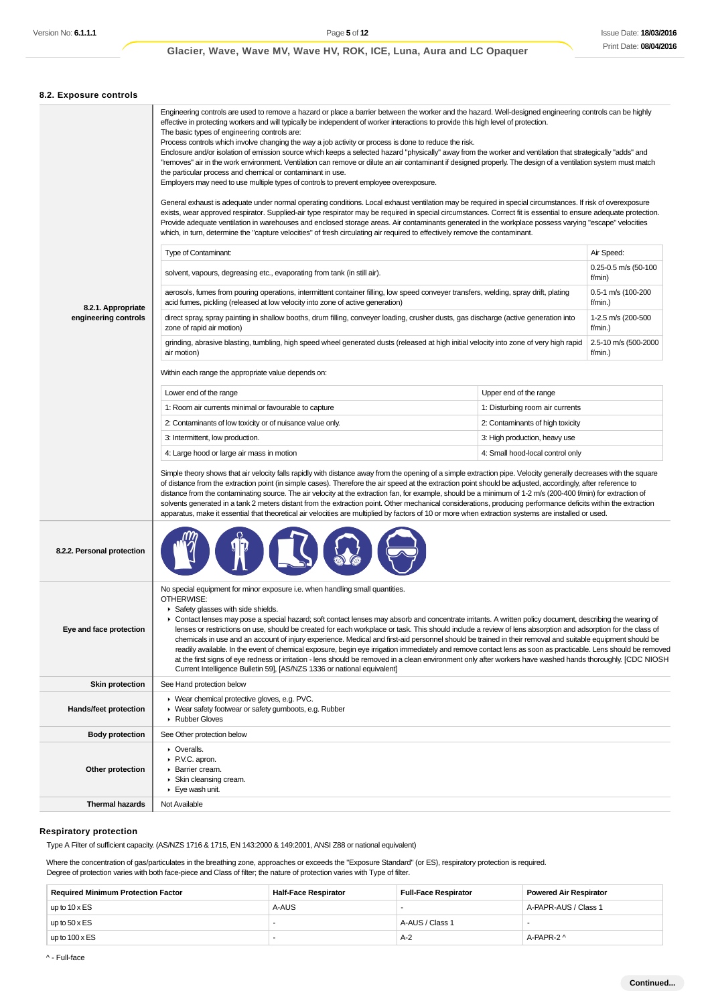| 8.2. Exposure controls                     |                                                                                                                                                                                                                                                                                                                                                                                                                                                                                                                                                                                                                                                                                                                                                                                                                                                                                                                                                                                                                                                                                                                                                                                                                                                                                                                                                                                                                                                                                                                                                                                                                                                                                                                                                                                                                                                                                                                                                                                                                                                                                                                                                                                                                                                                                                                                                                                                                                                                                                                                                                                                                                                                                                                                                                                                                                                                                                                                                                                                                                                                                                                                                                                                                                                                                                                                                                             |  |  |  |
|--------------------------------------------|-----------------------------------------------------------------------------------------------------------------------------------------------------------------------------------------------------------------------------------------------------------------------------------------------------------------------------------------------------------------------------------------------------------------------------------------------------------------------------------------------------------------------------------------------------------------------------------------------------------------------------------------------------------------------------------------------------------------------------------------------------------------------------------------------------------------------------------------------------------------------------------------------------------------------------------------------------------------------------------------------------------------------------------------------------------------------------------------------------------------------------------------------------------------------------------------------------------------------------------------------------------------------------------------------------------------------------------------------------------------------------------------------------------------------------------------------------------------------------------------------------------------------------------------------------------------------------------------------------------------------------------------------------------------------------------------------------------------------------------------------------------------------------------------------------------------------------------------------------------------------------------------------------------------------------------------------------------------------------------------------------------------------------------------------------------------------------------------------------------------------------------------------------------------------------------------------------------------------------------------------------------------------------------------------------------------------------------------------------------------------------------------------------------------------------------------------------------------------------------------------------------------------------------------------------------------------------------------------------------------------------------------------------------------------------------------------------------------------------------------------------------------------------------------------------------------------------------------------------------------------------------------------------------------------------------------------------------------------------------------------------------------------------------------------------------------------------------------------------------------------------------------------------------------------------------------------------------------------------------------------------------------------------------------------------------------------------------------------------------------------------|--|--|--|
| 8.2.1. Appropriate<br>engineering controls | Engineering controls are used to remove a hazard or place a barrier between the worker and the hazard. Well-designed engineering controls can be highly<br>effective in protecting workers and will typically be independent of worker interactions to provide this high level of protection.<br>The basic types of engineering controls are:<br>Process controls which involve changing the way a job activity or process is done to reduce the risk.<br>Enclosure and/or isolation of emission source which keeps a selected hazard "physically" away from the worker and ventilation that strategically "adds" and<br>"removes" air in the work environment. Ventilation can remove or dilute an air contaminant if designed properly. The design of a ventilation system must match<br>the particular process and chemical or contaminant in use.<br>Employers may need to use multiple types of controls to prevent employee overexposure.<br>General exhaust is adequate under normal operating conditions. Local exhaust ventilation may be required in special circumstances. If risk of overexposure<br>exists, wear approved respirator. Supplied-air type respirator may be required in special circumstances. Correct fit is essential to ensure adequate protection.<br>Provide adequate ventilation in warehouses and enclosed storage areas. Air contaminants generated in the workplace possess varying "escape" velocities<br>which, in turn, determine the "capture velocities" of fresh circulating air required to effectively remove the contaminant.<br>Air Speed:<br><b>Type of Contaminant:</b><br>0.25-0.5 m/s (50-100<br>solvent, vapours, degreasing etc., evaporating from tank (in still air).<br>f/min)<br>aerosols, fumes from pouring operations, intermittent container filling, low speed conveyer transfers, welding, spray drift, plating<br>0.5-1 m/s (100-200<br>acid fumes, pickling (released at low velocity into zone of active generation)<br>f/min.)<br>direct spray, spray painting in shallow booths, drum filling, conveyer loading, crusher dusts, gas discharge (active generation into<br>1-2.5 m/s (200-500<br>zone of rapid air motion)<br>f/min.)<br>2.5-10 m/s (500-2000<br>grinding, abrasive blasting, tumbling, high speed wheel generated dusts (released at high initial velocity into zone of very high rapid<br>air motion)<br>$f/min.$ )<br>Within each range the appropriate value depends on:<br>Lower end of the range<br>Upper end of the range<br>1: Room air currents minimal or favourable to capture<br>1: Disturbing room air currents<br>2: Contaminants of low toxicity or of nuisance value only.<br>2: Contaminants of high toxicity<br>3: Intermittent, low production.<br>3: High production, heavy use<br>4: Large hood or large air mass in motion<br>4: Small hood-local control only<br>Simple theory shows that air velocity falls rapidly with distance away from the opening of a simple extraction pipe. Velocity generally decreases with the square<br>of distance from the extraction point (in simple cases). Therefore the air speed at the extraction point should be adjusted, accordingly, after reference to<br>distance from the contaminating source. The air velocity at the extraction fan, for example, should be a minimum of 1-2 m/s (200-400 f/min) for extraction of |  |  |  |
|                                            | solvents generated in a tank 2 meters distant from the extraction point. Other mechanical considerations, producing performance deficits within the extraction<br>apparatus, make it essential that theoretical air velocities are multiplied by factors of 10 or more when extraction systems are installed or used.                                                                                                                                                                                                                                                                                                                                                                                                                                                                                                                                                                                                                                                                                                                                                                                                                                                                                                                                                                                                                                                                                                                                                                                                                                                                                                                                                                                                                                                                                                                                                                                                                                                                                                                                                                                                                                                                                                                                                                                                                                                                                                                                                                                                                                                                                                                                                                                                                                                                                                                                                                                                                                                                                                                                                                                                                                                                                                                                                                                                                                                       |  |  |  |
| 8.2.2. Personal protection                 |                                                                                                                                                                                                                                                                                                                                                                                                                                                                                                                                                                                                                                                                                                                                                                                                                                                                                                                                                                                                                                                                                                                                                                                                                                                                                                                                                                                                                                                                                                                                                                                                                                                                                                                                                                                                                                                                                                                                                                                                                                                                                                                                                                                                                                                                                                                                                                                                                                                                                                                                                                                                                                                                                                                                                                                                                                                                                                                                                                                                                                                                                                                                                                                                                                                                                                                                                                             |  |  |  |
| Eye and face protection                    | No special equipment for minor exposure i.e. when handling small quantities.<br>OTHERWISE:<br>Safety glasses with side shields.<br>• Contact lenses may pose a special hazard; soft contact lenses may absorb and concentrate irritants. A written policy document, describing the wearing of<br>lenses or restrictions on use, should be created for each workplace or task. This should include a review of lens absorption and adsorption for the class of<br>chemicals in use and an account of injury experience. Medical and first-aid personnel should be trained in their removal and suitable equipment should be<br>readily available. In the event of chemical exposure, begin eye irrigation immediately and remove contact lens as soon as practicable. Lens should be removed<br>at the first signs of eye redness or irritation - lens should be removed in a clean environment only after workers have washed hands thoroughly. [CDC NIOSH<br>Current Intelligence Bulletin 59], [AS/NZS 1336 or national equivalent]                                                                                                                                                                                                                                                                                                                                                                                                                                                                                                                                                                                                                                                                                                                                                                                                                                                                                                                                                                                                                                                                                                                                                                                                                                                                                                                                                                                                                                                                                                                                                                                                                                                                                                                                                                                                                                                                                                                                                                                                                                                                                                                                                                                                                                                                                                                                       |  |  |  |
| <b>Skin protection</b>                     | See Hand protection below                                                                                                                                                                                                                                                                                                                                                                                                                                                                                                                                                                                                                                                                                                                                                                                                                                                                                                                                                                                                                                                                                                                                                                                                                                                                                                                                                                                                                                                                                                                                                                                                                                                                                                                                                                                                                                                                                                                                                                                                                                                                                                                                                                                                                                                                                                                                                                                                                                                                                                                                                                                                                                                                                                                                                                                                                                                                                                                                                                                                                                                                                                                                                                                                                                                                                                                                                   |  |  |  |
| <b>Hands/feet protection</b>               | ▶ Wear chemical protective gloves, e.g. PVC.<br>▶ Wear safety footwear or safety gumboots, e.g. Rubber<br>Rubber Gloves                                                                                                                                                                                                                                                                                                                                                                                                                                                                                                                                                                                                                                                                                                                                                                                                                                                                                                                                                                                                                                                                                                                                                                                                                                                                                                                                                                                                                                                                                                                                                                                                                                                                                                                                                                                                                                                                                                                                                                                                                                                                                                                                                                                                                                                                                                                                                                                                                                                                                                                                                                                                                                                                                                                                                                                                                                                                                                                                                                                                                                                                                                                                                                                                                                                     |  |  |  |
| <b>Body protection</b>                     | See Other protection below                                                                                                                                                                                                                                                                                                                                                                                                                                                                                                                                                                                                                                                                                                                                                                                                                                                                                                                                                                                                                                                                                                                                                                                                                                                                                                                                                                                                                                                                                                                                                                                                                                                                                                                                                                                                                                                                                                                                                                                                                                                                                                                                                                                                                                                                                                                                                                                                                                                                                                                                                                                                                                                                                                                                                                                                                                                                                                                                                                                                                                                                                                                                                                                                                                                                                                                                                  |  |  |  |
| Other protection                           | • Overalls.<br>P.V.C. apron.<br>Barrier cream.<br>▶ Skin cleansing cream.<br>Eye wash unit.                                                                                                                                                                                                                                                                                                                                                                                                                                                                                                                                                                                                                                                                                                                                                                                                                                                                                                                                                                                                                                                                                                                                                                                                                                                                                                                                                                                                                                                                                                                                                                                                                                                                                                                                                                                                                                                                                                                                                                                                                                                                                                                                                                                                                                                                                                                                                                                                                                                                                                                                                                                                                                                                                                                                                                                                                                                                                                                                                                                                                                                                                                                                                                                                                                                                                 |  |  |  |
| <b>Thermal hazards</b>                     | Not Available                                                                                                                                                                                                                                                                                                                                                                                                                                                                                                                                                                                                                                                                                                                                                                                                                                                                                                                                                                                                                                                                                                                                                                                                                                                                                                                                                                                                                                                                                                                                                                                                                                                                                                                                                                                                                                                                                                                                                                                                                                                                                                                                                                                                                                                                                                                                                                                                                                                                                                                                                                                                                                                                                                                                                                                                                                                                                                                                                                                                                                                                                                                                                                                                                                                                                                                                                               |  |  |  |

### **Respiratory protection**

Type A Filter of sufficient capacity. (AS/NZS 1716 & 1715, EN 143:2000 & 149:2001, ANSI Z88 or national equivalent)

Where the concentration of gas/particulates in the breathing zone, approaches or exceeds the "Exposure Standard" (or ES), respiratory protection is required. Degree of protection varies with both face-piece and Class of filter; the nature of protection varies with Type of filter.

| <b>Required Minimum Protection Factor</b> | <b>Half-Face Respirator</b> | <b>Full-Face Respirator</b> | <b>Powered Air Respirator</b> |
|-------------------------------------------|-----------------------------|-----------------------------|-------------------------------|
| up to $10 \times ES$                      | A-AUS                       |                             | A-PAPR-AUS / Class 1          |
| up to $50 \times ES$                      |                             | A-AUS / Class 1             |                               |
| up to $100 \times ES$                     |                             | $A-2$                       | A-PAPR-2 ^                    |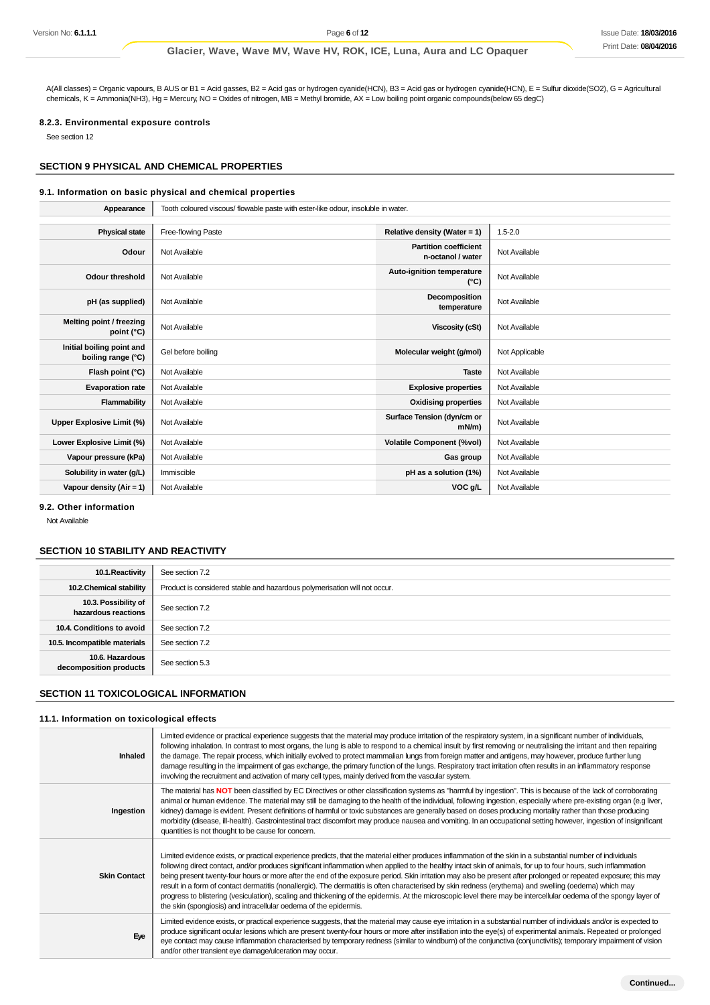A(All classes) = Organic vapours, B AUS or B1 = Acid gasses, B2 = Acid gas or hydrogen cyanide(HCN), B3 = Acid gas or hydrogen cyanide(HCN), E = Sulfur dioxide(SO2), G = Agricultural chemicals, K = Ammonia(NH3), Hg = Mercury, NO = Oxides of nitrogen, MB = Methyl bromide, AX = Low boiling point organic compounds(below 65 degC)

### **8.2.3. Environmental exposure controls**

See section 12

### **SECTION 9 PHYSICAL AND CHEMICAL PROPERTIES**

### **9.1. Information on basic physical and chemical properties**

| Appearance                                      | Tooth coloured viscous/ flowable paste with ester-like odour, insoluble in water. |                                                   |                |
|-------------------------------------------------|-----------------------------------------------------------------------------------|---------------------------------------------------|----------------|
|                                                 |                                                                                   |                                                   |                |
| <b>Physical state</b>                           | Free-flowing Paste                                                                | Relative density (Water = 1)                      | $1.5 - 2.0$    |
| Odour                                           | Not Available                                                                     | <b>Partition coefficient</b><br>n-octanol / water | Not Available  |
| Odour threshold                                 | Not Available                                                                     | Auto-ignition temperature<br>$(^{\circ}C)$        | Not Available  |
| pH (as supplied)                                | Not Available                                                                     | Decomposition<br>temperature                      | Not Available  |
| Melting point / freezing<br>point (°C)          | Not Available                                                                     | <b>Viscosity (cSt)</b>                            | Not Available  |
| Initial boiling point and<br>boiling range (°C) | Gel before boiling                                                                | Molecular weight (g/mol)                          | Not Applicable |
| Flash point (°C)                                | Not Available                                                                     | <b>Taste</b>                                      | Not Available  |
| <b>Evaporation rate</b>                         | Not Available                                                                     | <b>Explosive properties</b>                       | Not Available  |
| Flammability                                    | Not Available                                                                     | <b>Oxidising properties</b>                       | Not Available  |
| Upper Explosive Limit (%)                       | Not Available                                                                     | Surface Tension (dyn/cm or<br>$mN/m$ )            | Not Available  |
| Lower Explosive Limit (%)                       | Not Available                                                                     | <b>Volatile Component (%vol)</b>                  | Not Available  |
| Vapour pressure (kPa)                           | Not Available                                                                     | Gas group                                         | Not Available  |
| Solubility in water (g/L)                       | Immiscible                                                                        | pH as a solution (1%)                             | Not Available  |
| Vapour density (Air = 1)                        | Not Available                                                                     | VOC g/L                                           | Not Available  |

**9.2. Other information**

Not Available

### **SECTION 10 STABILITY AND REACTIVITY**

| 10.1. Reactivity                            | See section 7.2                                                           |
|---------------------------------------------|---------------------------------------------------------------------------|
| 10.2. Chemical stability                    | Product is considered stable and hazardous polymerisation will not occur. |
| 10.3. Possibility of<br>hazardous reactions | See section 7.2                                                           |
| 10.4. Conditions to avoid                   | See section 7.2                                                           |
| 10.5. Incompatible materials                | See section 7.2                                                           |
| 10.6. Hazardous<br>decomposition products   | See section 5.3                                                           |

### **SECTION 11 TOXICOLOGICAL INFORMATION**

#### **11.1. Information on toxicological effects**

| Inhaled             | Limited evidence or practical experience suggests that the material may produce irritation of the respiratory system, in a significant number of individuals,<br>following inhalation. In contrast to most organs, the lung is able to respond to a chemical insult by first removing or neutralising the irritant and then repairing<br>the damage. The repair process, which initially evolved to protect mammalian lungs from foreign matter and antigens, may however, produce further lung<br>damage resulting in the impairment of gas exchange, the primary function of the lungs. Respiratory tract irritation often results in an inflammatory response<br>involving the recruitment and activation of many cell types, mainly derived from the vascular system.                                                                                                                             |
|---------------------|-------------------------------------------------------------------------------------------------------------------------------------------------------------------------------------------------------------------------------------------------------------------------------------------------------------------------------------------------------------------------------------------------------------------------------------------------------------------------------------------------------------------------------------------------------------------------------------------------------------------------------------------------------------------------------------------------------------------------------------------------------------------------------------------------------------------------------------------------------------------------------------------------------|
| Ingestion           | The material has NOT been classified by EC Directives or other classification systems as "harmful by ingestion". This is because of the lack of corroborating<br>animal or human evidence. The material may still be damaging to the health of the individual, following ingestion, especially where pre-existing organ (e.g liver,<br>kidney) damage is evident. Present definitions of harmful or toxic substances are generally based on doses producing mortality rather than those producing<br>morbidity (disease, ill-health). Gastrointestinal tract discomfort may produce nausea and vomiting. In an occupational setting however, ingestion of insignificant<br>quantities is not thought to be cause for concern.                                                                                                                                                                         |
| <b>Skin Contact</b> | Limited evidence exists, or practical experience predicts, that the material either produces inflammation of the skin in a substantial number of individuals<br>following direct contact, and/or produces significant inflammation when applied to the healthy intact skin of animals, for up to four hours, such inflammation<br>being present twenty-four hours or more after the end of the exposure period. Skin irritation may also be present after prolonged or repeated exposure; this may<br>result in a form of contact dermatitis (nonallergic). The dermatitis is often characterised by skin redness (erythema) and swelling (oedema) which may<br>progress to blistering (vesiculation), scaling and thickening of the epidermis. At the microscopic level there may be intercellular oedema of the spongy layer of<br>the skin (spongiosis) and intracellular oedema of the epidermis. |
| Eye                 | Limited evidence exists, or practical experience suggests, that the material may cause eye irritation in a substantial number of individuals and/or is expected to<br>produce significant ocular lesions which are present twenty-four hours or more after instillation into the eye(s) of experimental animals. Repeated or prolonged<br>eye contact may cause inflammation characterised by temporary redness (similar to windburn) of the conjunctiva (conjunctivitis); temporary impairment of vision<br>and/or other transient eye damage/ulceration may occur.                                                                                                                                                                                                                                                                                                                                  |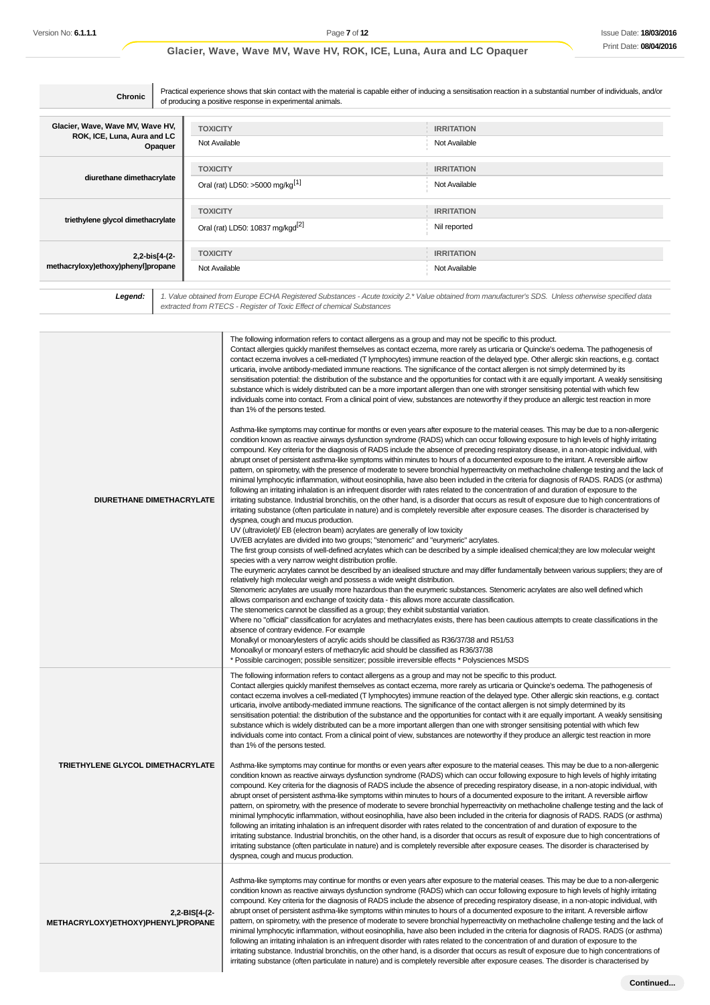| Chronic                                                                    | Practical experience shows that skin contact with the material is capable either of inducing a sensitisation reaction in a substantial number of individuals, and/or<br>of producing a positive response in experimental animals. |                                    |  |  |
|----------------------------------------------------------------------------|-----------------------------------------------------------------------------------------------------------------------------------------------------------------------------------------------------------------------------------|------------------------------------|--|--|
| Glacier, Wave, Wave MV, Wave HV,<br>ROK, ICE, Luna, Aura and LC<br>Opaquer | <b>TOXICITY</b><br>Not Available                                                                                                                                                                                                  | <b>IRRITATION</b><br>Not Available |  |  |
| diurethane dimethacrylate                                                  | <b>TOXICITY</b><br>Oral (rat) LD50: >5000 mg/kg <sup>[1]</sup>                                                                                                                                                                    | <b>IRRITATION</b><br>Not Available |  |  |
| triethylene glycol dimethacrylate                                          | <b>TOXICITY</b><br>Oral (rat) LD50: 10837 mg/kgd <sup>[2]</sup>                                                                                                                                                                   | <b>IRRITATION</b><br>Nil reported  |  |  |
| 2,2-bis[4-(2-<br>methacryloxy)ethoxy)phenyl]propane                        | <b>TOXICITY</b><br>Not Available                                                                                                                                                                                                  | <b>IRRITATION</b><br>Not Available |  |  |

Legend: 1. Value obtained from Europe ECHA Registered Substances - Acute toxicity 2.\* Value obtained from manufacturer's SDS. Unless otherwise specified data<br>extracted from RTECS - Register of Toxic Effect of chemical Subs

| DIURETHANE DIMETHACRYLATE                           | The following information refers to contact allergens as a group and may not be specific to this product.<br>Contact allergies quickly manifest themselves as contact eczema, more rarely as urticaria or Quincke's oedema. The pathogenesis of<br>contact eczema involves a cell-mediated (T lymphocytes) immune reaction of the delayed type. Other allergic skin reactions, e.g. contact<br>urticaria, involve antibody-mediated immune reactions. The significance of the contact allergen is not simply determined by its<br>sensitisation potential: the distribution of the substance and the opportunities for contact with it are equally important. A weakly sensitising<br>substance which is widely distributed can be a more important allergen than one with stronger sensitising potential with which few<br>individuals come into contact. From a clinical point of view, substances are noteworthy if they produce an allergic test reaction in more<br>than 1% of the persons tested.<br>Asthma-like symptoms may continue for months or even years after exposure to the material ceases. This may be due to a non-allergenic<br>condition known as reactive airways dysfunction syndrome (RADS) which can occur following exposure to high levels of highly irritating<br>compound. Key criteria for the diagnosis of RADS include the absence of preceding respiratory disease, in a non-atopic individual, with<br>abrupt onset of persistent asthma-like symptoms within minutes to hours of a documented exposure to the irritant. A reversible airflow<br>pattern, on spirometry, with the presence of moderate to severe bronchial hyperreactivity on methacholine challenge testing and the lack of<br>minimal lymphocytic inflammation, without eosinophilia, have also been included in the criteria for diagnosis of RADS. RADS (or asthma)<br>following an irritating inhalation is an infrequent disorder with rates related to the concentration of and duration of exposure to the<br>irritating substance. Industrial bronchitis, on the other hand, is a disorder that occurs as result of exposure due to high concentrations of<br>irritating substance (often particulate in nature) and is completely reversible after exposure ceases. The disorder is characterised by<br>dyspnea, cough and mucus production.<br>UV (ultraviolet)/ EB (electron beam) acrylates are generally of low toxicity<br>UV/EB acrylates are divided into two groups; "stenomeric" and "eurymeric" acrylates.<br>The first group consists of well-defined acrylates which can be described by a simple idealised chemical; they are low molecular weight<br>species with a very narrow weight distribution profile.<br>The eurymeric acrylates cannot be described by an idealised structure and may differ fundamentally between various suppliers; they are of<br>relatively high molecular weigh and possess a wide weight distribution.<br>Stenomeric acrylates are usually more hazardous than the eurymeric substances. Stenomeric acrylates are also well defined which<br>allows comparison and exchange of toxicity data - this allows more accurate classification.<br>The stenomerics cannot be classified as a group; they exhibit substantial variation. |
|-----------------------------------------------------|------------------------------------------------------------------------------------------------------------------------------------------------------------------------------------------------------------------------------------------------------------------------------------------------------------------------------------------------------------------------------------------------------------------------------------------------------------------------------------------------------------------------------------------------------------------------------------------------------------------------------------------------------------------------------------------------------------------------------------------------------------------------------------------------------------------------------------------------------------------------------------------------------------------------------------------------------------------------------------------------------------------------------------------------------------------------------------------------------------------------------------------------------------------------------------------------------------------------------------------------------------------------------------------------------------------------------------------------------------------------------------------------------------------------------------------------------------------------------------------------------------------------------------------------------------------------------------------------------------------------------------------------------------------------------------------------------------------------------------------------------------------------------------------------------------------------------------------------------------------------------------------------------------------------------------------------------------------------------------------------------------------------------------------------------------------------------------------------------------------------------------------------------------------------------------------------------------------------------------------------------------------------------------------------------------------------------------------------------------------------------------------------------------------------------------------------------------------------------------------------------------------------------------------------------------------------------------------------------------------------------------------------------------------------------------------------------------------------------------------------------------------------------------------------------------------------------------------------------------------------------------------------------------------------------------------------------------------------------------------------------------------------------------------------------------------------------------------------------------------------------------------------------------------------------------------------------------------------------------------------------------------------------------------|
|                                                     | Where no "official" classification for acrylates and methacrylates exists, there has been cautious attempts to create classifications in the<br>absence of contrary evidence. For example<br>Monalkyl or monoarylesters of acrylic acids should be classified as R36/37/38 and R51/53<br>Monoalkyl or monoaryl esters of methacrylic acid should be classified as R36/37/38<br>* Possible carcinogen; possible sensitizer; possible irreversible effects * Polysciences MSDS                                                                                                                                                                                                                                                                                                                                                                                                                                                                                                                                                                                                                                                                                                                                                                                                                                                                                                                                                                                                                                                                                                                                                                                                                                                                                                                                                                                                                                                                                                                                                                                                                                                                                                                                                                                                                                                                                                                                                                                                                                                                                                                                                                                                                                                                                                                                                                                                                                                                                                                                                                                                                                                                                                                                                                                                             |
|                                                     | The following information refers to contact allergens as a group and may not be specific to this product.<br>Contact allergies quickly manifest themselves as contact eczema, more rarely as urticaria or Quincke's oedema. The pathogenesis of<br>contact eczema involves a cell-mediated (T lymphocytes) immune reaction of the delayed type. Other allergic skin reactions, e.g. contact<br>urticaria, involve antibody-mediated immune reactions. The significance of the contact allergen is not simply determined by its<br>sensitisation potential: the distribution of the substance and the opportunities for contact with it are equally important. A weakly sensitising<br>substance which is widely distributed can be a more important allergen than one with stronger sensitising potential with which few<br>individuals come into contact. From a clinical point of view, substances are noteworthy if they produce an allergic test reaction in more<br>than 1% of the persons tested.                                                                                                                                                                                                                                                                                                                                                                                                                                                                                                                                                                                                                                                                                                                                                                                                                                                                                                                                                                                                                                                                                                                                                                                                                                                                                                                                                                                                                                                                                                                                                                                                                                                                                                                                                                                                                                                                                                                                                                                                                                                                                                                                                                                                                                                                                  |
| TRIETHYLENE GLYCOL DIMETHACRYLATE                   | Asthma-like symptoms may continue for months or even years after exposure to the material ceases. This may be due to a non-allergenic<br>condition known as reactive airways dysfunction syndrome (RADS) which can occur following exposure to high levels of highly irritating<br>compound. Key criteria for the diagnosis of RADS include the absence of preceding respiratory disease, in a non-atopic individual, with<br>abrupt onset of persistent asthma-like symptoms within minutes to hours of a documented exposure to the irritant. A reversible airflow<br>pattern, on spirometry, with the presence of moderate to severe bronchial hyperreactivity on methacholine challenge testing and the lack of<br>minimal lymphocytic inflammation, without eosinophilia, have also been included in the criteria for diagnosis of RADS. RADS (or asthma)<br>following an irritating inhalation is an infrequent disorder with rates related to the concentration of and duration of exposure to the<br>irritating substance. Industrial bronchitis, on the other hand, is a disorder that occurs as result of exposure due to high concentrations of<br>irritating substance (often particulate in nature) and is completely reversible after exposure ceases. The disorder is characterised by<br>dyspnea, cough and mucus production.                                                                                                                                                                                                                                                                                                                                                                                                                                                                                                                                                                                                                                                                                                                                                                                                                                                                                                                                                                                                                                                                                                                                                                                                                                                                                                                                                                                                                                                                                                                                                                                                                                                                                                                                                                                                                                                                                                                                            |
| 2,2-BIS[4-(2-<br>METHACRYLOXY)ETHOXY)PHENYL]PROPANE | Asthma-like symptoms may continue for months or even years after exposure to the material ceases. This may be due to a non-allergenic<br>condition known as reactive airways dysfunction syndrome (RADS) which can occur following exposure to high levels of highly irritating<br>compound. Key criteria for the diagnosis of RADS include the absence of preceding respiratory disease, in a non-atopic individual, with<br>abrupt onset of persistent asthma-like symptoms within minutes to hours of a documented exposure to the irritant. A reversible airflow<br>pattern, on spirometry, with the presence of moderate to severe bronchial hyperreactivity on methacholine challenge testing and the lack of<br>minimal lymphocytic inflammation, without eosinophilia, have also been included in the criteria for diagnosis of RADS. RADS (or asthma)<br>following an irritating inhalation is an infrequent disorder with rates related to the concentration of and duration of exposure to the<br>irritating substance. Industrial bronchitis, on the other hand, is a disorder that occurs as result of exposure due to high concentrations of<br>irritating substance (often particulate in nature) and is completely reversible after exposure ceases. The disorder is characterised by                                                                                                                                                                                                                                                                                                                                                                                                                                                                                                                                                                                                                                                                                                                                                                                                                                                                                                                                                                                                                                                                                                                                                                                                                                                                                                                                                                                                                                                                                                                                                                                                                                                                                                                                                                                                                                                                                                                                                                                    |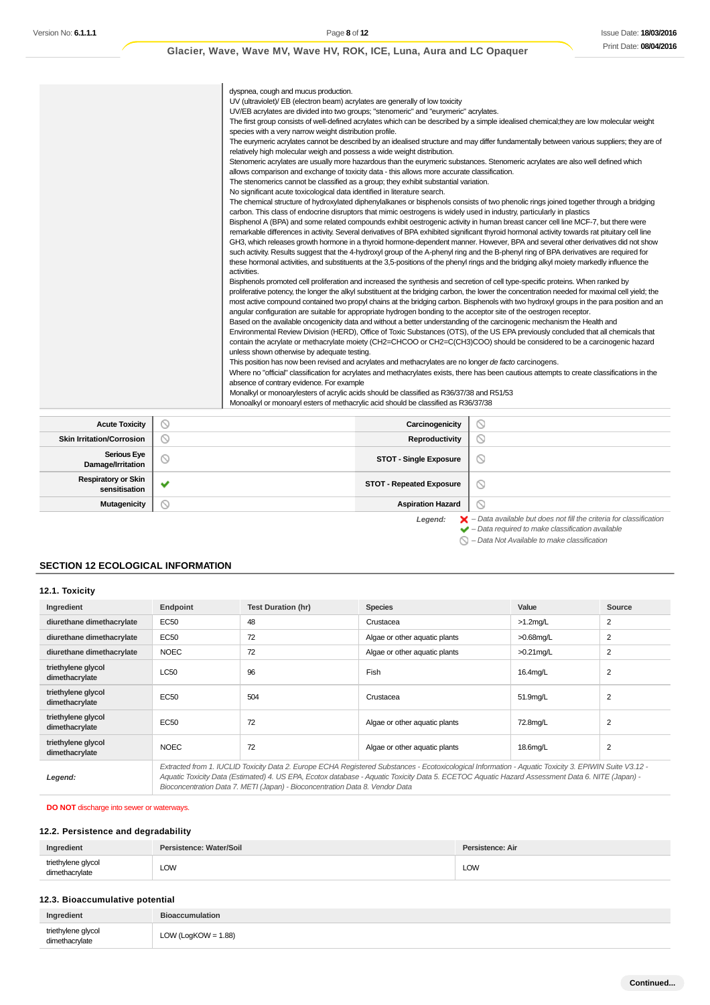|                                  | dyspnea, cough and mucus production.<br>UV (ultraviolet)/ EB (electron beam) acrylates are generally of low toxicity<br>UV/EB acrylates are divided into two groups; "stenomeric" and "eurymeric" acrylates.<br>species with a very narrow weight distribution profile.<br>relatively high molecular weigh and possess a wide weight distribution.<br>allows comparison and exchange of toxicity data - this allows more accurate classification.<br>The stenomerics cannot be classified as a group; they exhibit substantial variation.<br>No significant acute toxicological data identified in literature search.<br>carbon. This class of endocrine disruptors that mimic oestrogens is widely used in industry, particularly in plastics<br>activities.<br>angular configuration are suitable for appropriate hydrogen bonding to the acceptor site of the oestrogen receptor.<br>unless shown otherwise by adequate testing.<br>This position has now been revised and acrylates and methacrylates are no longer de facto carcinogens.<br>absence of contrary evidence. For example<br>Monalkyl or monoarylesters of acrylic acids should be classified as R36/37/38 and R51/53<br>Monoalkyl or monoaryl esters of methacrylic acid should be classified as R36/37/38 |                       | The first group consists of well-defined acrylates which can be described by a simple idealised chemical; they are low molecular weight<br>The eurymeric acrylates cannot be described by an idealised structure and may differ fundamentally between various suppliers; they are of<br>Stenomeric acrylates are usually more hazardous than the eurymeric substances. Stenomeric acrylates are also well defined which<br>The chemical structure of hydroxylated diphenylalkanes or bisphenols consists of two phenolic rings joined together through a bridging<br>Bisphenol A (BPA) and some related compounds exhibit oestrogenic activity in human breast cancer cell line MCF-7, but there were<br>remarkable differences in activity. Several derivatives of BPA exhibited significant thyroid hormonal activity towards rat pituitary cell line<br>GH3, which releases growth hormone in a thyroid hormone-dependent manner. However, BPA and several other derivatives did not show<br>such activity. Results suggest that the 4-hydroxyl group of the A-phenyl ring and the B-phenyl ring of BPA derivatives are required for<br>these hormonal activities, and substituents at the 3,5-positions of the phenyl rings and the bridging alkyl moiety markedly influence the<br>Bisphenols promoted cell proliferation and increased the synthesis and secretion of cell type-specific proteins. When ranked by<br>proliferative potency, the longer the alkyl substituent at the bridging carbon, the lower the concentration needed for maximal cell yield; the<br>most active compound contained two propyl chains at the bridging carbon. Bisphenols with two hydroxyl groups in the para position and an<br>Based on the available oncogenicity data and without a better understanding of the carcinogenic mechanism the Health and<br>Environmental Review Division (HERD), Office of Toxic Substances (OTS), of the US EPA previously concluded that all chemicals that<br>contain the acrylate or methacrylate moiety (CH2=CHCOO or CH2=C(CH3)COO) should be considered to be a carcinogenic hazard<br>Where no "official" classification for acrylates and methacrylates exists, there has been cautious attempts to create classifications in the |
|----------------------------------|------------------------------------------------------------------------------------------------------------------------------------------------------------------------------------------------------------------------------------------------------------------------------------------------------------------------------------------------------------------------------------------------------------------------------------------------------------------------------------------------------------------------------------------------------------------------------------------------------------------------------------------------------------------------------------------------------------------------------------------------------------------------------------------------------------------------------------------------------------------------------------------------------------------------------------------------------------------------------------------------------------------------------------------------------------------------------------------------------------------------------------------------------------------------------------------------------------------------------------------------------------------------------|-----------------------|----------------------------------------------------------------------------------------------------------------------------------------------------------------------------------------------------------------------------------------------------------------------------------------------------------------------------------------------------------------------------------------------------------------------------------------------------------------------------------------------------------------------------------------------------------------------------------------------------------------------------------------------------------------------------------------------------------------------------------------------------------------------------------------------------------------------------------------------------------------------------------------------------------------------------------------------------------------------------------------------------------------------------------------------------------------------------------------------------------------------------------------------------------------------------------------------------------------------------------------------------------------------------------------------------------------------------------------------------------------------------------------------------------------------------------------------------------------------------------------------------------------------------------------------------------------------------------------------------------------------------------------------------------------------------------------------------------------------------------------------------------------------------------------------------------------------------------------------------------------------------------------------------------------------------------------------------------------------------------------------------------------------------------------------------------------------------------------------------------------------------------------------------------------------------------------------------------------------------------------------------------------------|
|                                  |                                                                                                                                                                                                                                                                                                                                                                                                                                                                                                                                                                                                                                                                                                                                                                                                                                                                                                                                                                                                                                                                                                                                                                                                                                                                              |                       |                                                                                                                                                                                                                                                                                                                                                                                                                                                                                                                                                                                                                                                                                                                                                                                                                                                                                                                                                                                                                                                                                                                                                                                                                                                                                                                                                                                                                                                                                                                                                                                                                                                                                                                                                                                                                                                                                                                                                                                                                                                                                                                                                                                                                                                                      |
| <b>Acute Toxicity</b>            |                                                                                                                                                                                                                                                                                                                                                                                                                                                                                                                                                                                                                                                                                                                                                                                                                                                                                                                                                                                                                                                                                                                                                                                                                                                                              | Carcinogenicity       | ⊚                                                                                                                                                                                                                                                                                                                                                                                                                                                                                                                                                                                                                                                                                                                                                                                                                                                                                                                                                                                                                                                                                                                                                                                                                                                                                                                                                                                                                                                                                                                                                                                                                                                                                                                                                                                                                                                                                                                                                                                                                                                                                                                                                                                                                                                                    |
| <b>Skin Irritation/Corrosion</b> |                                                                                                                                                                                                                                                                                                                                                                                                                                                                                                                                                                                                                                                                                                                                                                                                                                                                                                                                                                                                                                                                                                                                                                                                                                                                              | <b>Reproductivity</b> | ⋒                                                                                                                                                                                                                                                                                                                                                                                                                                                                                                                                                                                                                                                                                                                                                                                                                                                                                                                                                                                                                                                                                                                                                                                                                                                                                                                                                                                                                                                                                                                                                                                                                                                                                                                                                                                                                                                                                                                                                                                                                                                                                                                                                                                                                                                                    |

|                                             | ◡ |                                 |                                                                |
|---------------------------------------------|---|---------------------------------|----------------------------------------------------------------|
| <b>Skin Irritation/Corrosion</b>            |   | Reproductivity                  | $\scriptstyle\circlearrowright$                                |
| <b>Serious Eye</b><br>Damage/Irritation     |   | <b>STOT - Single Exposure</b>   | ∾                                                              |
| <b>Respiratory or Skin</b><br>sensitisation |   | <b>STOT - Repeated Exposure</b> | ∾                                                              |
| <b>Mutagenicity</b>                         | ∽ | <b>Aspiration Hazard</b>        | ◡                                                              |
|                                             |   | $1 - 1 - 1$                     | Deta available but deep not fill the oritoria for elegationian |

Legend:  $\blacktriangleright$  - Data available but does not fill the criteria for classification<br>  $\blacktriangleright$  - Data required to make classification available

 $\bigcirc$  – Data Not Available to make classification

### **SECTION 12 ECOLOGICAL INFORMATION**

### **12.1. Toxicity**

| Ingredient                           | Endpoint                                                                                                                                                                                                                                                                                                 | <b>Test Duration (hr)</b> | <b>Species</b>                | Value        | Source         |
|--------------------------------------|----------------------------------------------------------------------------------------------------------------------------------------------------------------------------------------------------------------------------------------------------------------------------------------------------------|---------------------------|-------------------------------|--------------|----------------|
| diurethane dimethacrylate            | EC50                                                                                                                                                                                                                                                                                                     | 48                        | Crustacea                     | $>1.2$ mg/L  | 2              |
| diurethane dimethacrylate            | EC50                                                                                                                                                                                                                                                                                                     | 72                        | Algae or other aquatic plants | $>0.68$ mg/L | 2              |
| diurethane dimethacrylate            | <b>NOEC</b>                                                                                                                                                                                                                                                                                              | 72                        | Algae or other aquatic plants | $>0.21$ mg/L | 2              |
| triethylene glycol<br>dimethacrylate | LC50                                                                                                                                                                                                                                                                                                     | 96                        | Fish                          | 16.4mg/L     | $\overline{2}$ |
| triethylene glycol<br>dimethacrylate | EC50                                                                                                                                                                                                                                                                                                     | 504                       | Crustacea                     | 51.9mg/L     | 2              |
| triethylene glycol<br>dimethacrylate | <b>EC50</b>                                                                                                                                                                                                                                                                                              | 72                        | Algae or other aquatic plants | 72.8mg/L     | $\overline{2}$ |
| triethylene glycol<br>dimethacrylate | <b>NOEC</b>                                                                                                                                                                                                                                                                                              | 72                        | Algae or other aquatic plants | 18.6mg/L     | $\overline{2}$ |
| Legend:                              | Extracted from 1. IUCLID Toxicity Data 2. Europe ECHA Registered Substances - Ecotoxicological Information - Aquatic Toxicity 3. EPIWIN Suite V3.12 -<br>Aquatic Toxicity Data (Estimated) 4. US EPA, Ecotox database - Aquatic Toxicity Data 5. ECETOC Aquatic Hazard Assessment Data 6. NITE (Japan) - |                           |                               |              |                |

Bioconcentration Data 7. METI (Japan) - Bioconcentration Data 8. Vendor Data

## **DO NOT** discharge into sewer or waterways.

## **12.2. Persistence and degradability**

| triethylene glycol<br>dimethacrylate<br>LOW<br>LOW | Ingredient | Persistence: Water/Soil | Persistence: Air |
|----------------------------------------------------|------------|-------------------------|------------------|
|                                                    |            |                         |                  |

### **12.3. Bioaccumulative potential**

| Ingredient                           | <b>Bioaccumulation</b> |
|--------------------------------------|------------------------|
| triethylene glycol<br>dimethacrylate | LOW (LogKOW = $1.88$ ) |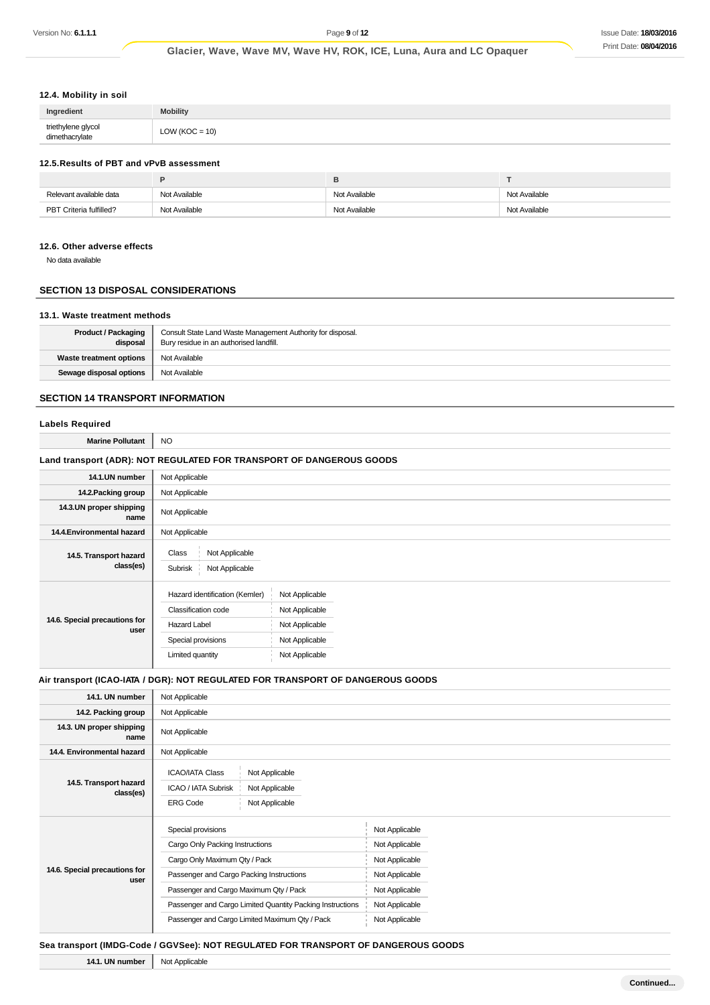### **12.4. Mobility in soil**

| Ingredient                           | <b>Mobility</b>   |
|--------------------------------------|-------------------|
| triethylene glycol<br>dimethacrylate | $1.0W$ (KOC = 10) |

### **12.5.Results of PBT and vPvB assessment**

|                         | Е             |               |               |
|-------------------------|---------------|---------------|---------------|
| Relevant available data | Not Available | Not Available | Not Available |
| PBT Criteria fulfilled? | Not Available | Not Available | Not Available |

#### **12.6. Other adverse effects**

No data available

## **SECTION 13 DISPOSAL CONSIDERATIONS**

#### **13.1. Waste treatment methods**

| <b>Product / Packaging</b><br>disposal | Consult State Land Waste Management Authority for disposal.<br>Bury residue in an authorised landfill. |
|----------------------------------------|--------------------------------------------------------------------------------------------------------|
| Waste treatment options                | Not Available                                                                                          |
| Sewage disposal options                | Not Available                                                                                          |

### **SECTION 14 TRANSPORT INFORMATION**

#### **Labels Required**

**Marine Pollutant** NO

### **Land transport (ADR): NOT REGULATED FOR TRANSPORT OF DANGEROUS GOODS** 14.1.UN number Not Applicable 14.2. Packing group | Not Applicable **14.3.UN proper shipping name** Not Applicable **14.4. Environmental hazard** Not Applicable **14.5. Transport hazard class(es)** Class Not Applicable Subrisk Not Applicable Hazard identification (Kemler) Not Applicable

|                                       | Hazard lderitilication (Nemier) | <b>NOT Applicable</b> |
|---------------------------------------|---------------------------------|-----------------------|
| 14.6. Special precautions for<br>user | Classification code             | Not Applicable        |
|                                       | <b>Hazard Label</b>             | Not Applicable        |
|                                       | Special provisions              | Not Applicable        |
|                                       | Limited quantity                | Not Applicable        |
|                                       |                                 |                       |

#### **Air transport (ICAO-IATA / DGR): NOT REGULATED FOR TRANSPORT OF DANGEROUS GOODS**

| 14.1. UN number                       | Not Applicable                                                                                                         |                |
|---------------------------------------|------------------------------------------------------------------------------------------------------------------------|----------------|
| 14.2. Packing group                   | Not Applicable                                                                                                         |                |
| 14.3. UN proper shipping<br>name      | Not Applicable                                                                                                         |                |
| 14.4. Environmental hazard            | Not Applicable                                                                                                         |                |
| 14.5. Transport hazard<br>class(es)   | <b>ICAO/IATA Class</b><br>Not Applicable<br>ICAO / IATA Subrisk<br>Not Applicable<br>Not Applicable<br><b>ERG Code</b> |                |
| 14.6. Special precautions for<br>user | Special provisions                                                                                                     | Not Applicable |
|                                       | Cargo Only Packing Instructions                                                                                        | Not Applicable |
|                                       | Cargo Only Maximum Qty / Pack                                                                                          | Not Applicable |
|                                       | Passenger and Cargo Packing Instructions                                                                               | Not Applicable |
|                                       | Passenger and Cargo Maximum Qty / Pack                                                                                 | Not Applicable |
|                                       | Passenger and Cargo Limited Quantity Packing Instructions                                                              | Not Applicable |
|                                       | Passenger and Cargo Limited Maximum Qty / Pack                                                                         | Not Applicable |

#### **Sea transport (IMDG-Code / GGVSee): NOT REGULATED FOR TRANSPORT OF DANGEROUS GOODS**

**14.1. UN number** Not Applicable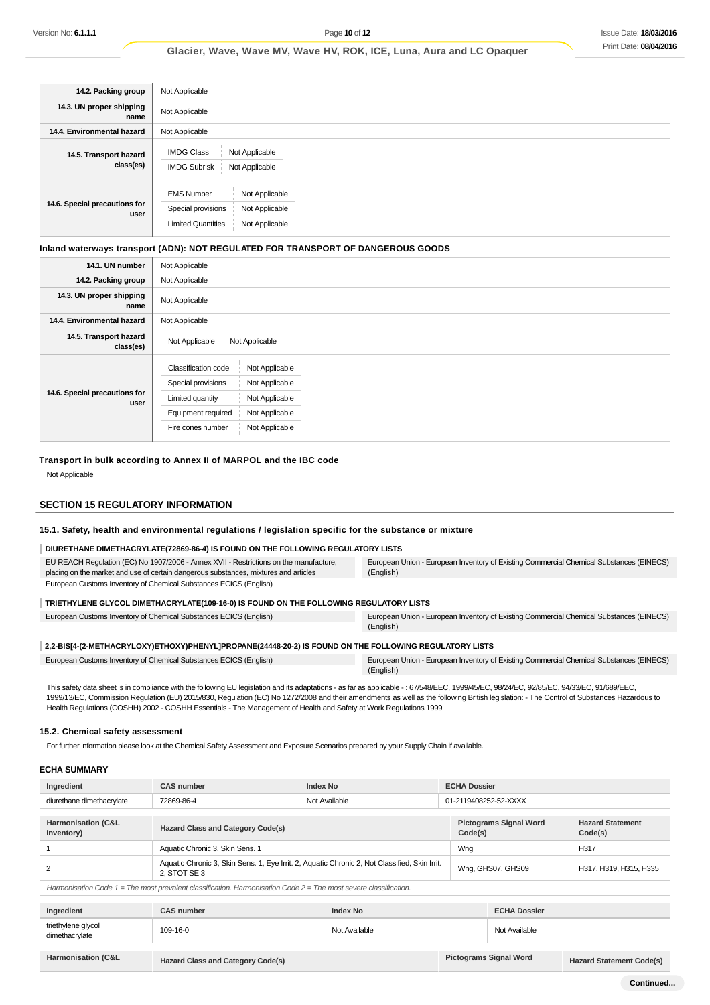| 14.2. Packing group                   | Not Applicable                                                                                                             |  |
|---------------------------------------|----------------------------------------------------------------------------------------------------------------------------|--|
| 14.3. UN proper shipping<br>name      | Not Applicable                                                                                                             |  |
| 14.4. Environmental hazard            | Not Applicable                                                                                                             |  |
| 14.5. Transport hazard<br>class(es)   | <b>IMDG Class</b><br>Not Applicable<br><b>IMDG Subrisk</b><br>Not Applicable                                               |  |
| 14.6. Special precautions for<br>user | <b>EMS Number</b><br>Not Applicable<br>Special provisions<br>Not Applicable<br>Not Applicable<br><b>Limited Quantities</b> |  |

### **Inland waterways transport (ADN): NOT REGULATED FOR TRANSPORT OF DANGEROUS GOODS**

| 14.1. UN number                       | Not Applicable                                                                                                                                                                                     |
|---------------------------------------|----------------------------------------------------------------------------------------------------------------------------------------------------------------------------------------------------|
| 14.2. Packing group                   | Not Applicable                                                                                                                                                                                     |
| 14.3. UN proper shipping<br>name      | Not Applicable                                                                                                                                                                                     |
| 14.4. Environmental hazard            | Not Applicable                                                                                                                                                                                     |
| 14.5. Transport hazard<br>class(es)   | Not Applicable<br>Not Applicable                                                                                                                                                                   |
| 14.6. Special precautions for<br>user | Classification code<br>Not Applicable<br>Special provisions<br>Not Applicable<br>Not Applicable<br>Limited quantity<br>Not Applicable<br>Equipment required<br>Not Applicable<br>Fire cones number |

**Transport in bulk according to Annex II of MARPOL and the IBC code** Not Applicable

#### **SECTION 15 REGULATORY INFORMATION**

### **15.1. Safety, health and environmental regulations / legislation specific for the substance or mixture**

### **DIURETHANE DIMETHACRYLATE(72869-86-4) IS FOUND ON THE FOLLOWING REGULATORY LISTS**

| EU REACH Regulation (EC) No 1907/2006 - Annex XVII - Restrictions on the manufacture,<br>placing on the market and use of certain dangerous substances, mixtures and articles | European Union - European Inventory of Existing Commercial Chemical Substances (EINECS)<br>(English) |  |  |
|-------------------------------------------------------------------------------------------------------------------------------------------------------------------------------|------------------------------------------------------------------------------------------------------|--|--|
| European Customs Inventory of Chemical Substances ECICS (English)                                                                                                             |                                                                                                      |  |  |
| TRIETHYLENE GLYCOL DIMETHACRYLATE(109-16-0) IS FOUND ON THE FOLLOWING REGULATORY LISTS                                                                                        |                                                                                                      |  |  |

#### European Customs Inventory of Chemical Substances ECICS (English) European Union - European Inventory of Existing Commercial Chemical Substances (EINECS) (English)

### **2,2-BIS[4-(2-METHACRYLOXY)ETHOXY)PHENYL]PROPANE(24448-20-2) IS FOUND ON THE FOLLOWING REGULATORY LISTS**

| European Customs Inventory of Chemical Substances ECICS (English) | European Union - European Inventory of Existing Commercial Chemical Substances (EINECS) |
|-------------------------------------------------------------------|-----------------------------------------------------------------------------------------|
|                                                                   | (English)                                                                               |

This safety data sheet is in compliance with the following EU legislation and its adaptations - as far as applicable - : 67/548/EEC, 1999/45/EC, 98/24/EC, 92/85/EC, 94/33/EC, 91/689/EEC, 1999/13/EC, Commission Regulation (EU) 2015/830, Regulation (EC) No 1272/2008 and their amendments as well as the following British legislation: - The Control of Substances Hazardous to Health Regulations (COSHH) 2002 - COSHH Essentials - The Management of Health and Safety at Work Regulations 1999

#### **15.2. Chemical safety assessment**

For further information please look at the Chemical Safety Assessment and Exposure Scenarios prepared by your Supply Chain if available.

#### **ECHA SUMMARY**

| Ingredient                                                                                                           | <b>CAS number</b>                                                                                             | <b>Index No</b> | <b>ECHA Dossier</b>                      |                                    |
|----------------------------------------------------------------------------------------------------------------------|---------------------------------------------------------------------------------------------------------------|-----------------|------------------------------------------|------------------------------------|
| diurethane dimethacrylate                                                                                            | 72869-86-4                                                                                                    | Not Available   | 01-2119408252-52-XXXX                    |                                    |
|                                                                                                                      |                                                                                                               |                 |                                          |                                    |
| Harmonisation (C&L<br>Inventory)                                                                                     | <b>Hazard Class and Category Code(s)</b>                                                                      |                 | <b>Pictograms Signal Word</b><br>Code(s) | <b>Hazard Statement</b><br>Code(s) |
|                                                                                                                      | Aquatic Chronic 3, Skin Sens. 1                                                                               |                 | Wng                                      | H317                               |
|                                                                                                                      | Aquatic Chronic 3, Skin Sens. 1, Eye Irrit. 2, Aquatic Chronic 2, Not Classified, Skin Irrit.<br>2. STOT SE 3 |                 | Wng, GHS07, GHS09                        | H317, H319, H315, H335             |
| Harmonisation Code $1 =$ The most prevalent classification. Harmonisation Code $2 =$ The most severe classification. |                                                                                                               |                 |                                          |                                    |

**Ingredient CAS number CAS number Index No Index No Index No ECHA Dossier** triethylene glycol<br>dimethacrylate dimethacrylate 109-16-0<br>dimethacrylate 109-16-0 **Harmonisation (C&L Hazard Class and Category Code(s) Pictograms Signal Word Hazard Statement Code(s)**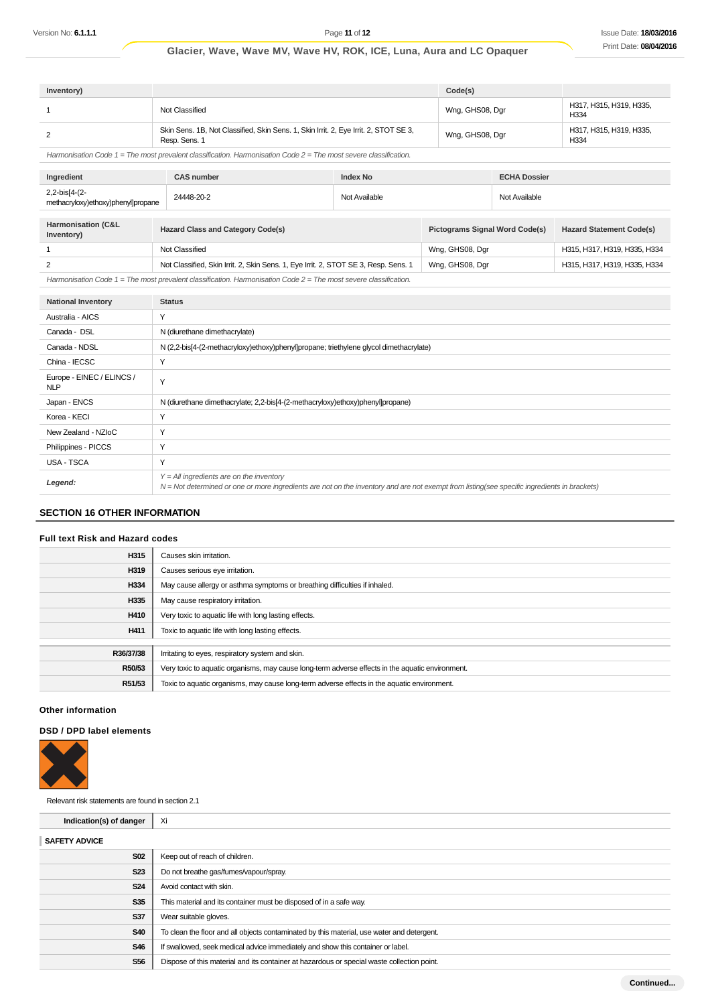**Continued...**

## **Glacier, Wave, Wave MV, Wave HV, ROK, ICE, Luna, Aura and LC Opaquer**

| Inventory)                                                                                                           |                                                                                                       |                 | Code(s)         |                     |                                 |
|----------------------------------------------------------------------------------------------------------------------|-------------------------------------------------------------------------------------------------------|-----------------|-----------------|---------------------|---------------------------------|
|                                                                                                                      | Not Classified                                                                                        |                 | Wng, GHS08, Dgr |                     | H317, H315, H319, H335,<br>H334 |
|                                                                                                                      | Skin Sens. 1B, Not Classified, Skin Sens. 1, Skin Irrit. 2, Eye Irrit. 2, STOT SE 3,<br>Resp. Sens. 1 |                 | Wng, GHS08, Dgr |                     | H317, H315, H319, H335,<br>H334 |
| Harmonisation Code $1$ = The most prevalent classification. Harmonisation Code $2$ = The most severe classification. |                                                                                                       |                 |                 |                     |                                 |
| Ingredient                                                                                                           | <b>CAS number</b>                                                                                     | <b>Index No</b> |                 | <b>ECHA Dossier</b> |                                 |

| Ingredient                                          | <b>CAS number</b>                        | Index No      |                                                     | <b>ECHA Dossier</b> |                                 |
|-----------------------------------------------------|------------------------------------------|---------------|-----------------------------------------------------|---------------------|---------------------------------|
| 2,2-bis[4-(2-<br>methacryloxy)ethoxy)phenyl]propane | 24448-20-2                               | Not Available |                                                     | Not Available       |                                 |
|                                                     |                                          |               |                                                     |                     |                                 |
| Harmonisation (C&L<br>Inventory)                    | <b>Hazard Class and Category Code(s)</b> |               | <b>Pictograms Signal Word Code(s)</b>               |                     | <b>Hazard Statement Code(s)</b> |
|                                                     | Not Clossified                           |               | $M_{\text{max}}$ $\cap$ $\cup$ $\cap$ $\cap$ $\sim$ |                     | LIGHT LIGHT LIGHT LIGGE LIG     |

|  | Not Classified                                                                      | Wng, GHS08, Dgr | H315, H317, H319, H335, H334 |
|--|-------------------------------------------------------------------------------------|-----------------|------------------------------|
|  | Not Classified, Skin Irrit. 2, Skin Sens. 1, Eye Irrit. 2, STOT SE 3, Resp. Sens. 1 | Wng, GHS08, Dgr | H315, H317, H319, H335, H334 |
|  | .                                                                                   |                 |                              |

| Harmonisation Code 1 = The most prevalent classification. Harmonisation Code 2 = The most severe classification. |  |
|------------------------------------------------------------------------------------------------------------------|--|
|------------------------------------------------------------------------------------------------------------------|--|

| <b>National Inventory</b>               | <b>Status</b>                                                                                                                                                                                |
|-----------------------------------------|----------------------------------------------------------------------------------------------------------------------------------------------------------------------------------------------|
| Australia - AICS                        | Y                                                                                                                                                                                            |
| Canada - DSL                            | N (diurethane dimethacrylate)                                                                                                                                                                |
| Canada - NDSL                           | N (2,2-bis[4-(2-methacryloxy)ethoxy)phenyl]propane; triethylene glycol dimethacrylate)                                                                                                       |
| China - IECSC                           | Υ                                                                                                                                                                                            |
| Europe - EINEC / ELINCS /<br><b>NLP</b> | Y                                                                                                                                                                                            |
| Japan - ENCS                            | N (diurethane dimethacrylate; 2,2-bis[4-(2-methacryloxy)ethoxy)phenyl]propane)                                                                                                               |
| Korea - KECI                            | Y                                                                                                                                                                                            |
| New Zealand - NZIoC                     | Y                                                                                                                                                                                            |
| Philippines - PICCS                     | Y                                                                                                                                                                                            |
| USA - TSCA                              | Υ                                                                                                                                                                                            |
| Legend:                                 | $Y = All$ ingredients are on the inventory<br>$N = Not$ determined or one or more ingredients are not on the inventory and are not exempt from listing(see specific ingredients in brackets) |

## **SECTION 16 OTHER INFORMATION**

### **Full text Risk and Hazard codes**

| H315      | Causes skin irritation.                                                                          |
|-----------|--------------------------------------------------------------------------------------------------|
| H319      | Causes serious eye irritation.                                                                   |
| H334      | May cause allergy or asthma symptoms or breathing difficulties if inhaled.                       |
| H335      | May cause respiratory irritation.                                                                |
| H410      | Very toxic to aquatic life with long lasting effects.                                            |
| H411      | Toxic to aquatic life with long lasting effects.                                                 |
|           |                                                                                                  |
| R36/37/38 | Irritating to eyes, respiratory system and skin.                                                 |
| R50/53    | Very toxic to aquatic organisms, may cause long-term adverse effects in the aquatic environment. |
| R51/53    | Toxic to aquatic organisms, may cause long-term adverse effects in the aquatic environment.      |

### **Other information**

### **DSD / DPD label elements**



| Relevant risk statements are found in section 2.1 |                                                                                            |
|---------------------------------------------------|--------------------------------------------------------------------------------------------|
| Indication(s) of danger                           | Xi                                                                                         |
| <b>SAFETY ADVICE</b>                              |                                                                                            |
| <b>S02</b>                                        | Keep out of reach of children.                                                             |
| <b>S23</b>                                        | Do not breathe gas/fumes/vapour/spray.                                                     |
| <b>S24</b>                                        | Avoid contact with skin.                                                                   |
| <b>S35</b>                                        | This material and its container must be disposed of in a safe way.                         |
| S37                                               | Wear suitable gloves.                                                                      |
| <b>S40</b>                                        | To clean the floor and all objects contaminated by this material, use water and detergent. |
| <b>S46</b>                                        | If swallowed, seek medical advice immediately and show this container or label.            |
| <b>S56</b>                                        | Dispose of this material and its container at hazardous or special waste collection point. |
|                                                   |                                                                                            |